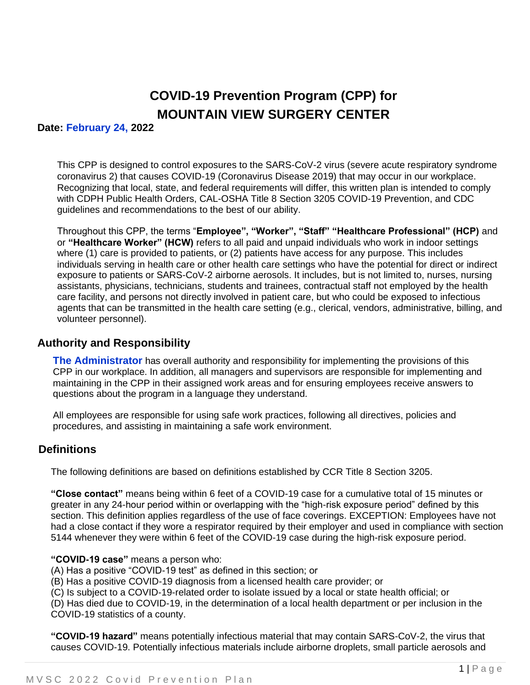# **COVID-19 Prevention Program (CPP) for MOUNTAIN VIEW SURGERY CENTER**

#### **Date: February 24, 2022**

This CPP is designed to control exposures to the SARS-CoV-2 virus (severe acute respiratory syndrome coronavirus 2) that causes COVID-19 (Coronavirus Disease 2019) that may occur in our workplace. Recognizing that local, state, and federal requirements will differ, this written plan is intended to comply with CDPH Public Health Orders, CAL-OSHA Title 8 Section 3205 COVID-19 Prevention, and CDC guidelines and recommendations to the best of our ability.

Throughout this CPP, the terms "**Employee", "Worker", "Staff" "Healthcare Professional" (HCP)** and or **"Healthcare Worker" (HCW)** refers to all paid and unpaid individuals who work in indoor settings where (1) care is provided to patients, or (2) patients have access for any purpose. This includes individuals serving in health care or other health care settings who have the potential for direct or indirect exposure to patients or SARS-CoV-2 airborne aerosols. It includes, but is not limited to, nurses, nursing assistants, physicians, technicians, students and trainees, contractual staff not employed by the health care facility, and persons not directly involved in patient care, but who could be exposed to infectious agents that can be transmitted in the health care setting (e.g., clerical, vendors, administrative, billing, and volunteer personnel).

#### **Authority and Responsibility**

**The Administrator** has overall authority and responsibility for implementing the provisions of this CPP in our workplace. In addition, all managers and supervisors are responsible for implementing and maintaining in the CPP in their assigned work areas and for ensuring employees receive answers to questions about the program in a language they understand.

All employees are responsible for using safe work practices, following all directives, policies and procedures, and assisting in maintaining a safe work environment.

### **Definitions**

The following definitions are based on definitions established by CCR Title 8 Section 3205.

**"Close contact"** means being within 6 feet of a COVID-19 case for a cumulative total of 15 minutes or greater in any 24-hour period within or overlapping with the "high-risk exposure period" defined by this section. This definition applies regardless of the use of face coverings. EXCEPTION: Employees have not had a close contact if they wore a respirator required by their employer and used in compliance with section 5144 whenever they were within 6 feet of the COVID-19 case during the high-risk exposure period.

#### **"COVID-19 case"** means a person who:

- (A) Has a positive "COVID-19 test" as defined in this section; or
- (B) Has a positive COVID-19 diagnosis from a licensed health care provider; or

(C) Is subject to a COVID-19-related order to isolate issued by a local or state health official; or

(D) Has died due to COVID-19, in the determination of a local health department or per inclusion in the COVID-19 statistics of a county.

**"COVID-19 hazard"** means potentially infectious material that may contain SARS-CoV-2, the virus that causes COVID-19. Potentially infectious materials include airborne droplets, small particle aerosols and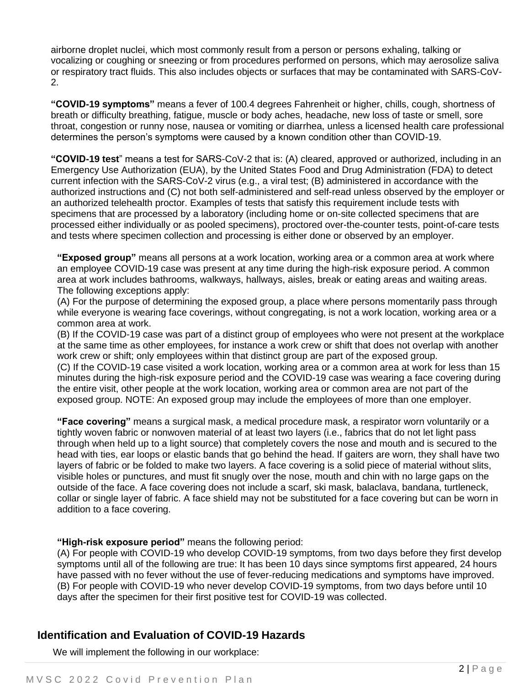airborne droplet nuclei, which most commonly result from a person or persons exhaling, talking or vocalizing or coughing or sneezing or from procedures performed on persons, which may aerosolize saliva or respiratory tract fluids. This also includes objects or surfaces that may be contaminated with SARS-CoV-2.

**"COVID-19 symptoms"** means a fever of 100.4 degrees Fahrenheit or higher, chills, cough, shortness of breath or difficulty breathing, fatigue, muscle or body aches, headache, new loss of taste or smell, sore throat, congestion or runny nose, nausea or vomiting or diarrhea, unless a licensed health care professional determines the person's symptoms were caused by a known condition other than COVID-19.

**"COVID-19 test**" means a test for SARS-CoV-2 that is: (A) cleared, approved or authorized, including in an Emergency Use Authorization (EUA), by the United States Food and Drug Administration (FDA) to detect current infection with the SARS-CoV-2 virus (e.g., a viral test; (B) administered in accordance with the authorized instructions and (C) not both self-administered and self-read unless observed by the employer or an authorized telehealth proctor. Examples of tests that satisfy this requirement include tests with specimens that are processed by a laboratory (including home or on-site collected specimens that are processed either individually or as pooled specimens), proctored over-the-counter tests, point-of-care tests and tests where specimen collection and processing is either done or observed by an employer.

**"Exposed group"** means all persons at a work location, working area or a common area at work where an employee COVID-19 case was present at any time during the high-risk exposure period. A common area at work includes bathrooms, walkways, hallways, aisles, break or eating areas and waiting areas. The following exceptions apply:

(A) For the purpose of determining the exposed group, a place where persons momentarily pass through while everyone is wearing face coverings, without congregating, is not a work location, working area or a common area at work.

(B) If the COVID-19 case was part of a distinct group of employees who were not present at the workplace at the same time as other employees, for instance a work crew or shift that does not overlap with another work crew or shift; only employees within that distinct group are part of the exposed group.

(C) If the COVID-19 case visited a work location, working area or a common area at work for less than 15 minutes during the high-risk exposure period and the COVID-19 case was wearing a face covering during the entire visit, other people at the work location, working area or common area are not part of the exposed group. NOTE: An exposed group may include the employees of more than one employer.

**"Face covering"** means a surgical mask, a medical procedure mask, a respirator worn voluntarily or a tightly woven fabric or nonwoven material of at least two layers (i.e., fabrics that do not let light pass through when held up to a light source) that completely covers the nose and mouth and is secured to the head with ties, ear loops or elastic bands that go behind the head. If gaiters are worn, they shall have two layers of fabric or be folded to make two layers. A face covering is a solid piece of material without slits, visible holes or punctures, and must fit snugly over the nose, mouth and chin with no large gaps on the outside of the face. A face covering does not include a scarf, ski mask, balaclava, bandana, turtleneck, collar or single layer of fabric. A face shield may not be substituted for a face covering but can be worn in addition to a face covering.

**"High-risk exposure period"** means the following period:

(A) For people with COVID-19 who develop COVID-19 symptoms, from two days before they first develop symptoms until all of the following are true: It has been 10 days since symptoms first appeared, 24 hours have passed with no fever without the use of fever-reducing medications and symptoms have improved. (B) For people with COVID-19 who never develop COVID-19 symptoms, from two days before until 10 days after the specimen for their first positive test for COVID-19 was collected.

## **Identification and Evaluation of COVID-19 Hazards**

We will implement the following in our workplace: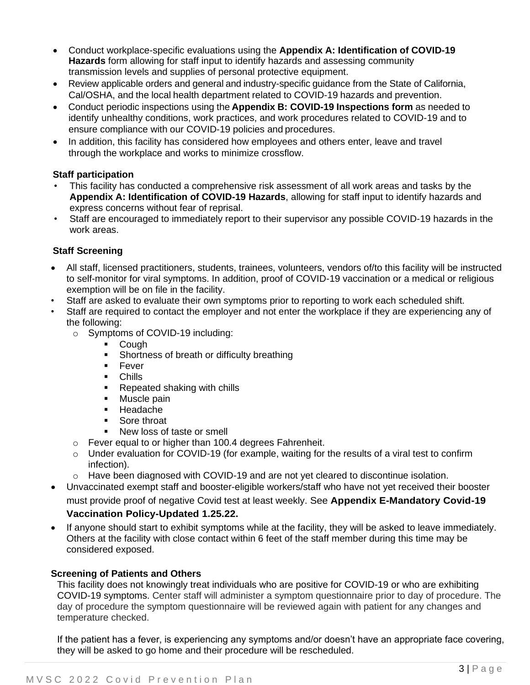- Conduct workplace-specific evaluations using the **Appendix A: Identification of COVID-19 Hazards** form allowing for staff input to identify hazards and assessing community transmission levels and supplies of personal protective equipment.
- Review applicable orders and general and industry-specific guidance from the State of California, Cal/OSHA, and the local health department related to COVID-19 hazards and prevention.
- Conduct periodic inspections using the **Appendix B: COVID-19 Inspections form** as needed to identify unhealthy conditions, work practices, and work procedures related to COVID-19 and to ensure compliance with our COVID-19 policies and procedures.
- In addition, this facility has considered how employees and others enter, leave and travel through the workplace and works to minimize crossflow.

#### **Staff participation**

- This facility has conducted a comprehensive risk assessment of all work areas and tasks by the **Appendix A: Identification of COVID-19 Hazards**, allowing for staff input to identify hazards and express concerns without fear of reprisal.
- Staff are encouraged to immediately report to their supervisor any possible COVID-19 hazards in the work areas.

#### **Staff Screening**

- All staff, licensed practitioners, students, trainees, volunteers, vendors of/to this facility will be instructed to self-monitor for viral symptoms. In addition, proof of COVID-19 vaccination or a medical or religious exemption will be on file in the facility.
- Staff are asked to evaluate their own symptoms prior to reporting to work each scheduled shift.
- Staff are required to contact the employer and not enter the workplace if they are experiencing any of the following:
	- o Symptoms of COVID-19 including:
		- Cough
		- Shortness of breath or difficulty breathing
		- Fever
		- Chills
		- Repeated shaking with chills
		- Muscle pain
		- Headache
		- Sore throat
		- New loss of taste or smell
	- o Fever equal to or higher than 100.4 degrees Fahrenheit.
	- $\circ$  Under evaluation for COVID-19 (for example, waiting for the results of a viral test to confirm infection).
	- o Have been diagnosed with COVID-19 and are not yet cleared to discontinue isolation.
- Unvaccinated exempt staff and booster-eligible workers/staff who have not yet received their booster must provide proof of negative Covid test at least weekly. See **Appendix E-Mandatory Covid-19**

### **Vaccination Policy-Updated 1.25.22.**

• If anyone should start to exhibit symptoms while at the facility, they will be asked to leave immediately. Others at the facility with close contact within 6 feet of the staff member during this time may be considered exposed.

#### **Screening of Patients and Others**

This facility does not knowingly treat individuals who are positive for COVID-19 or who are exhibiting COVID-19 symptoms. Center staff will administer a symptom questionnaire prior to day of procedure. The day of procedure the symptom questionnaire will be reviewed again with patient for any changes and temperature checked.

If the patient has a fever, is experiencing any symptoms and/or doesn't have an appropriate face covering, they will be asked to go home and their procedure will be rescheduled.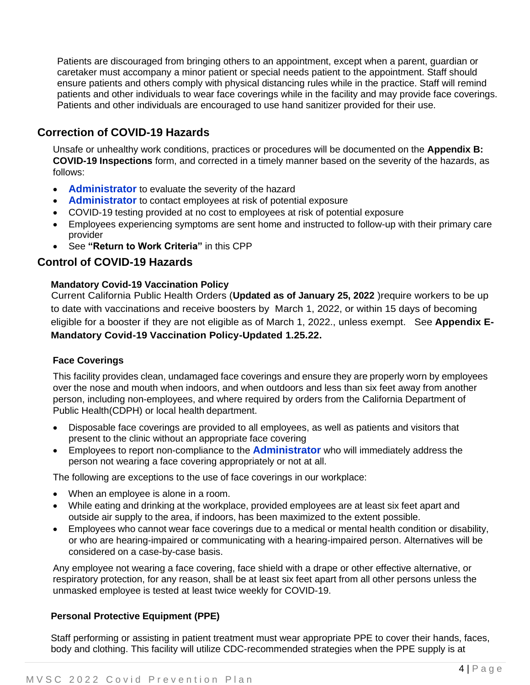Patients are discouraged from bringing others to an appointment, except when a parent, guardian or caretaker must accompany a minor patient or special needs patient to the appointment. Staff should ensure patients and others comply with physical distancing rules while in the practice. Staff will remind patients and other individuals to wear face coverings while in the facility and may provide face coverings. Patients and other individuals are encouraged to use hand sanitizer provided for their use.

## **Correction of COVID-19 Hazards**

Unsafe or unhealthy work conditions, practices or procedures will be documented on the **Appendix B: COVID-19 Inspections** form, and corrected in a timely manner based on the severity of the hazards, as follows:

- **Administrator** to evaluate the severity of the hazard
- **Administrator** to contact employees at risk of potential exposure
- COVID-19 testing provided at no cost to employees at risk of potential exposure
- Employees experiencing symptoms are sent home and instructed to follow-up with their primary care provider
- See **"Return to Work Criteria"** in this CPP

### **Control of COVID-19 Hazards**

#### **Mandatory Covid-19 Vaccination Policy**

Current California Public Health [Orders](https://www.cdph.ca.gov/Programs/CID/DCDC/Pages/COVID-19/Order-of-the-State-Public-Health-Officer-Health-Care-Worker-Vaccine-Requirement.aspx) (**Updated as of January 25, 2022** )require workers to be up to date with vaccinations and receive boosters by March 1, 2022, or within 15 days of becoming eligible for a booster if they are not eligible as of March 1, 2022., unless exempt. See **Appendix E-Mandatory Covid-19 Vaccination Policy-Updated 1.25.22.**

#### **Face Coverings**

This facility provides clean, undamaged face coverings and ensure they are properly worn by employees over the nose and mouth when indoors, and when outdoors and less than six feet away from another person, including non-employees, and where required by orders from the California Department of Public Health(CDPH) or local health department.

- Disposable face coverings are provided to all employees, as well as patients and visitors that present to the clinic without an appropriate face covering
- Employees to report non-compliance to the **Administrator** who will immediately address the person not wearing a face covering appropriately or not at all.

The following are exceptions to the use of face coverings in our workplace:

- When an employee is alone in a room.
- While eating and drinking at the workplace, provided employees are at least six feet apart and outside air supply to the area, if indoors, has been maximized to the extent possible.
- Employees who cannot wear face coverings due to a medical or mental health condition or disability, or who are hearing-impaired or communicating with a hearing-impaired person. Alternatives will be considered on a case-by-case basis.

Any employee not wearing a face covering, face shield with a drape or other effective alternative, or respiratory protection, for any reason, shall be at least six feet apart from all other persons unless the unmasked employee is tested at least twice weekly for COVID-19.

### **Personal Protective Equipment (PPE)**

Staff performing or assisting in patient treatment must wear appropriate PPE to cover their hands, faces, body and clothing. This facility will utilize CDC-recommended strategies when the PPE supply is at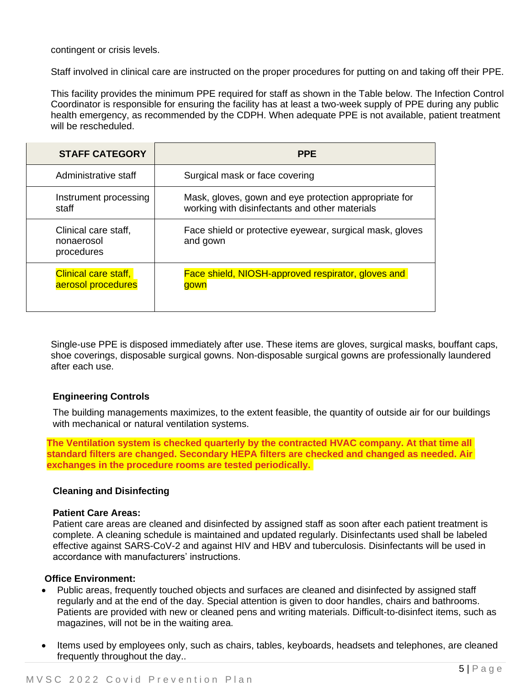contingent or crisis levels.

Staff involved in clinical care are instructed on the proper procedures for putting on and taking off their PPE.

This facility provides the minimum PPE required for staff as shown in the Table below. The Infection Control Coordinator is responsible for ensuring the facility has at least a two-week supply of PPE during any public health emergency, as recommended by the CDPH. When adequate PPE is not available, patient treatment will be rescheduled.

| <b>STAFF CATEGORY</b>                             | <b>PPE</b>                                                                                              |  |
|---------------------------------------------------|---------------------------------------------------------------------------------------------------------|--|
| Administrative staff                              | Surgical mask or face covering                                                                          |  |
| Instrument processing<br>staff                    | Mask, gloves, gown and eye protection appropriate for<br>working with disinfectants and other materials |  |
| Clinical care staff,<br>nonaerosol<br>procedures  | Face shield or protective eyewear, surgical mask, gloves<br>and gown                                    |  |
| <b>Clinical care staff,</b><br>aerosol procedures | Face shield, NIOSH-approved respirator, gloves and<br>gown                                              |  |

Single-use PPE is disposed immediately after use. These items are gloves, surgical masks, bouffant caps, shoe coverings, disposable surgical gowns. Non-disposable surgical gowns are professionally laundered after each use.

#### **Engineering Controls**

The building managements maximizes, to the extent feasible, the quantity of outside air for our buildings with mechanical or natural ventilation systems.

**The Ventilation system is checked quarterly by the contracted HVAC company. At that time all standard filters are changed. Secondary HEPA filters are checked and changed as needed. Air exchanges in the procedure rooms are tested periodically.** 

#### **Cleaning and Disinfecting**

#### **Patient Care Areas:**

Patient care areas are cleaned and disinfected by assigned staff as soon after each patient treatment is complete. A cleaning schedule is maintained and updated regularly. Disinfectants used shall be labeled effective against SARS-CoV-2 and against HIV and HBV and tuberculosis. Disinfectants will be used in accordance with manufacturers' instructions.

#### **Office Environment:**

- Public areas, frequently touched objects and surfaces are cleaned and disinfected by assigned staff regularly and at the end of the day. Special attention is given to door handles, chairs and bathrooms. Patients are provided with new or cleaned pens and writing materials. Difficult-to-disinfect items, such as magazines, will not be in the waiting area.
- Items used by employees only, such as chairs, tables, keyboards, headsets and telephones, are cleaned frequently throughout the day..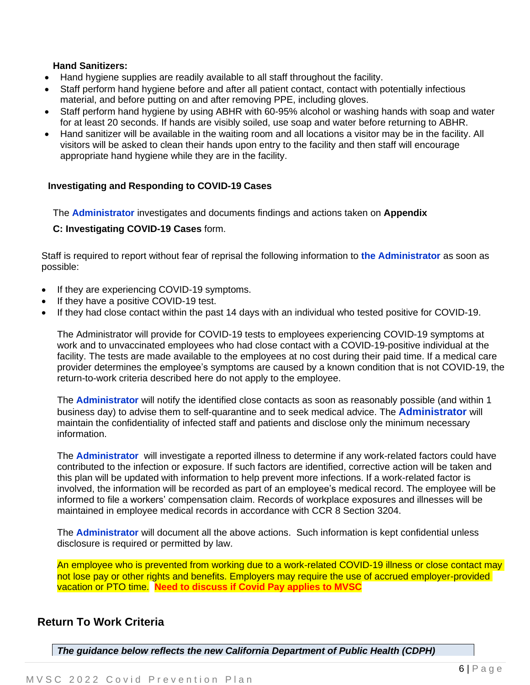#### **Hand Sanitizers:**

- Hand hygiene supplies are readily available to all staff throughout the facility.
- Staff perform hand hygiene before and after all patient contact, contact with potentially infectious material, and before putting on and after removing PPE, including gloves.
- Staff perform hand hygiene by using ABHR with 60-95% alcohol or washing hands with soap and water for at least 20 seconds. If hands are visibly soiled, use soap and water before returning to ABHR.
- Hand sanitizer will be available in the waiting room and all locations a visitor may be in the facility. All visitors will be asked to clean their hands upon entry to the facility and then staff will encourage appropriate hand hygiene while they are in the facility.

#### **Investigating and Responding to COVID-19 Cases**

The **Administrator** investigates and documents findings and actions taken on **Appendix**

#### **C: Investigating COVID-19 Cases** form.

Staff is required to report without fear of reprisal the following information to **the Administrator** as soon as possible:

- If they are experiencing COVID-19 symptoms.
- If they have a positive COVID-19 test.
- If they had close contact within the past 14 days with an individual who tested positive for COVID-19.

The Administrator will provide for COVID-19 tests to employees experiencing COVID-19 symptoms at work and to unvaccinated employees who had close contact with a COVID-19-positive individual at the facility. The tests are made available to the employees at no cost during their paid time. If a medical care provider determines the employee's symptoms are caused by a known condition that is not COVID-19, the return-to-work criteria described here do not apply to the employee.

The **Administrator** will notify the identified close contacts as soon as reasonably possible (and within 1 business day) to advise them to self-quarantine and to seek medical advice. The **Administrator** will maintain the confidentiality of infected staff and patients and disclose only the minimum necessary information.

The **Administrator** will investigate a reported illness to determine if any work-related factors could have contributed to the infection or exposure. If such factors are identified, corrective action will be taken and this plan will be updated with information to help prevent more infections. If a work-related factor is involved, the information will be recorded as part of an employee's medical record. The employee will be informed to file a workers' compensation claim. Records of workplace exposures and illnesses will be maintained in employee medical records in accordance with CCR 8 Section 3204.

The **Administrator** will document all the above actions. Such information is kept confidential unless disclosure is required or permitted by law.

An employee who is prevented from working due to a work-related COVID-19 illness or close contact may not lose pay or other rights and benefits. Employers may require the use of accrued employer-provided vacation or PTO time. **Need to discuss if Covid Pay applies to MVSC**

### **Return To Work Criteria**

*The guidance below reflects the new California Department of Public Health (CDPH)*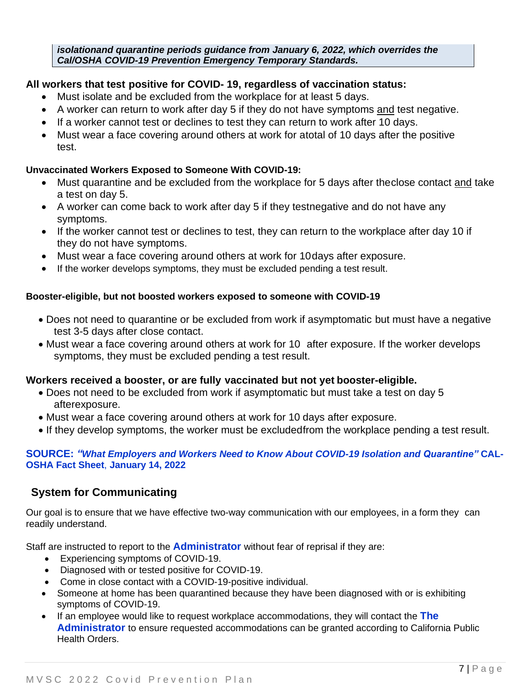*isolationand quarantine periods guidance from January 6, 2022, which overrides the Cal/OSHA COVID-19 Prevention Emergency Temporary Standards.*

### **All workers that test positive for COVID- 19, regardless of vaccination status:**

- Must isolate and be excluded from the workplace for at least 5 days.
- A worker can return to work after day 5 if they do not have symptoms and test negative.
- If a worker cannot test or declines to test they can return to work after 10 days.
- Must wear a face covering around others at work for atotal of 10 days after the positive test.

### **Unvaccinated Workers Exposed to Someone With COVID-19:**

- Must quarantine and be excluded from the workplace for 5 days after theclose contact and take a test on day 5.
- A worker can come back to work after day 5 if they testnegative and do not have any symptoms.
- If the worker cannot test or declines to test, they can return to the workplace after day 10 if they do not have symptoms.
- Must wear a face covering around others at work for 10 days after exposure.
- If the worker develops symptoms, they must be excluded pending a test result.

#### **Booster-eligible, but not boosted workers exposed to someone with COVID-19**

- Does not need to quarantine or be excluded from work if asymptomatic but must have a negative test 3-5 days after close contact.
- Must wear a face covering around others at work for 10 after exposure. If the worker develops symptoms, they must be excluded pending a test result.

### **Workers received a booster, or are fully vaccinated but not yet booster-eligible.**

- Does not need to be excluded from work if asymptomatic but must take a test on day 5 afterexposure.
- Must wear a face covering around others at work for 10 days after exposure.
- If they develop symptoms, the worker must be excludedfrom the workplace pending a test result.

#### **SOURCE:** *"What Employers and Workers Need to Know About COVID-19 Isolation and Quarantine"* **CAL-OSHA Fact Sheet**, **January 14, 2022**

### **System for Communicating**

Our goal is to ensure that we have effective two-way communication with our employees, in a form they can readily understand.

Staff are instructed to report to the **Administrator** without fear of reprisal if they are:

- Experiencing symptoms of COVID-19.
- Diagnosed with or tested positive for COVID-19.
- Come in close contact with a COVID-19-positive individual.
- Someone at home has been quarantined because they have been diagnosed with or is exhibiting symptoms of COVID-19.
- If an employee would like to request workplace accommodations, they will contact the **The Administrator** to ensure requested accommodations can be granted according to California Public Health Orders.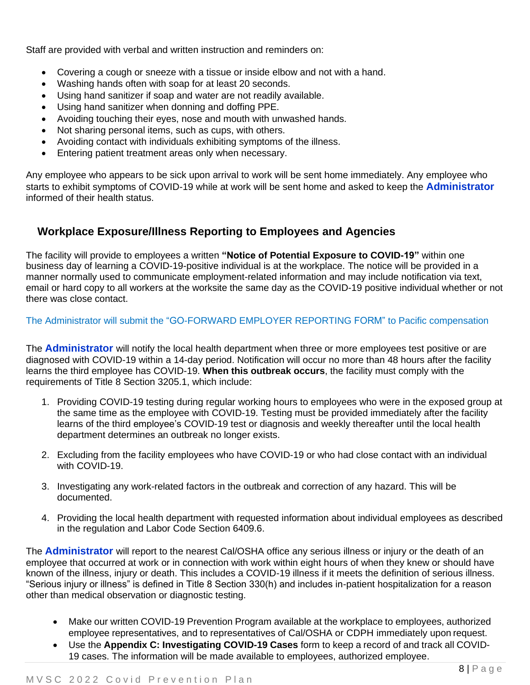Staff are provided with verbal and written instruction and reminders on:

- Covering a cough or sneeze with a tissue or inside elbow and not with a hand.
- Washing hands often with soap for at least 20 seconds.
- Using hand sanitizer if soap and water are not readily available.
- Using hand sanitizer when donning and doffing PPE.
- Avoiding touching their eyes, nose and mouth with unwashed hands.
- Not sharing personal items, such as cups, with others.
- Avoiding contact with individuals exhibiting symptoms of the illness.
- Entering patient treatment areas only when necessary.

Any employee who appears to be sick upon arrival to work will be sent home immediately. Any employee who starts to exhibit symptoms of COVID-19 while at work will be sent home and asked to keep the **Administrator** informed of their health status.

## **Workplace Exposure/Illness Reporting to Employees and Agencies**

The facility will provide to employees a written **"Notice of Potential Exposure to COVID-19"** within one business day of learning a COVID-19-positive individual is at the workplace. The notice will be provided in a manner normally used to communicate employment-related information and may include notification via text, email or hard copy to all workers at the worksite the same day as the COVID-19 positive individual whether or not there was close contact.

The Administrator will submit the "GO-FORWARD EMPLOYER REPORTING FORM" to Pacific compensation

The **Administrator** will notify the local health department when three or more employees test positive or are diagnosed with COVID-19 within a 14-day period. Notification will occur no more than 48 hours after the facility learns the third employee has COVID-19. **When this outbreak occurs**, the facility must comply with the requirements of Title 8 Section 3205.1, which include:

- 1. Providing COVID-19 testing during regular working hours to employees who were in the exposed group at the same time as the employee with COVID-19. Testing must be provided immediately after the facility learns of the third employee's COVID-19 test or diagnosis and weekly thereafter until the local health department determines an outbreak no longer exists.
- 2. Excluding from the facility employees who have COVID-19 or who had close contact with an individual with COVID-19.
- 3. Investigating any work-related factors in the outbreak and correction of any hazard. This will be documented.
- 4. Providing the local health department with requested information about individual employees as described in the regulation and Labor Code Section 6409.6.

The **Administrator** will report to the nearest Cal/OSHA office any serious illness or injury or the death of an employee that occurred at work or in connection with work within eight hours of when they knew or should have known of the illness, injury or death. This includes a COVID-19 illness if it meets the definition of serious illness. "Serious injury or illness" is defined in Title 8 Section 330(h) and includes in-patient hospitalization for a reason other than medical observation or diagnostic testing.

- Make our written COVID-19 Prevention Program available at the workplace to employees, authorized employee representatives, and to representatives of Cal/OSHA or CDPH immediately upon request.
- Use the **Appendix C: Investigating COVID-19 Cases** form to keep a record of and track all COVID-19 cases. The information will be made available to employees, authorized employee.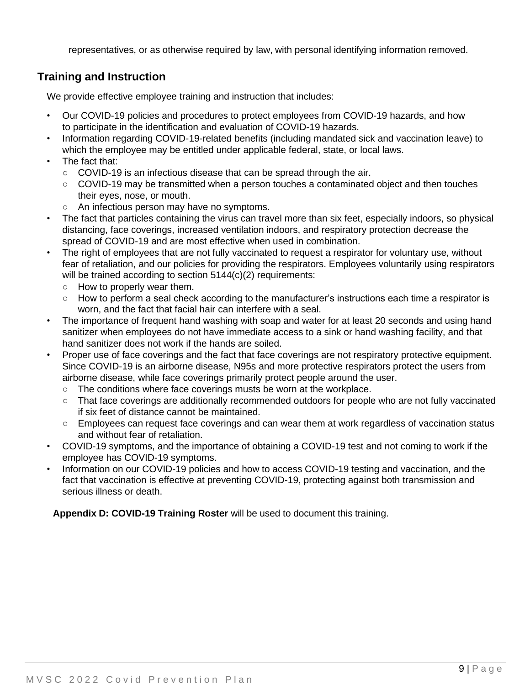representatives, or as otherwise required by law, with personal identifying information removed.

## **Training and Instruction**

We provide effective employee training and instruction that includes:

- Our COVID-19 policies and procedures to protect employees from COVID-19 hazards, and how to participate in the identification and evaluation of COVID-19 hazards.
- Information regarding COVID-19-related benefits (including mandated sick and vaccination leave) to which the employee may be entitled under applicable federal, state, or local laws.
- The fact that:
	- **○** COVID-19 is an infectious disease that can be spread through the air.
	- **○** COVID-19 may be transmitted when a person touches a contaminated object and then touches their eyes, nose, or mouth.
	- **○** An infectious person may have no symptoms.
- The fact that particles containing the virus can travel more than six feet, especially indoors, so physical distancing, face coverings, increased ventilation indoors, and respiratory protection decrease the spread of COVID-19 and are most effective when used in combination.
- The right of employees that are not fully vaccinated to request a respirator for voluntary use, without fear of retaliation, and our policies for providing the respirators. Employees voluntarily using respirators will be trained according to section 5144(c)(2) requirements:
	- **○** How to properly wear them.
	- **○** How to perform a seal check according to the manufacturer's instructions each time a respirator is worn, and the fact that facial hair can interfere with a seal.
- The importance of frequent hand washing with soap and water for at least 20 seconds and using hand sanitizer when employees do not have immediate access to a sink or hand washing facility, and that hand sanitizer does not work if the hands are soiled.
- Proper use of face coverings and the fact that face coverings are not respiratory protective equipment. Since COVID-19 is an airborne disease, N95s and more protective respirators protect the users from airborne disease, while face coverings primarily protect people around the user.
	- **○** The conditions where face coverings musts be worn at the workplace.
	- **○** That face coverings are additionally recommended outdoors for people who are not fully vaccinated if six feet of distance cannot be maintained.
	- **○** Employees can request face coverings and can wear them at work regardless of vaccination status and without fear of retaliation.
- COVID-19 symptoms, and the importance of obtaining a COVID-19 test and not coming to work if the employee has COVID-19 symptoms.
- Information on our COVID-19 policies and how to access COVID-19 testing and vaccination, and the fact that vaccination is effective at preventing COVID-19, protecting against both transmission and serious illness or death.

**Appendix D: COVID-19 Training Roster** will be used to document this training.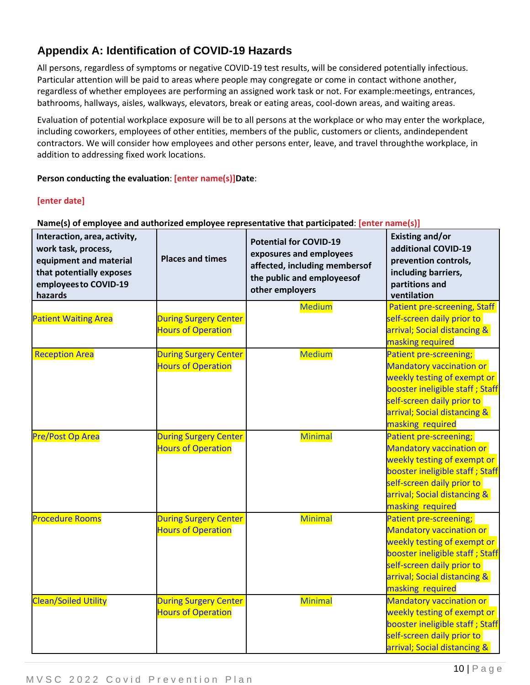## **Appendix A: Identification of COVID-19 Hazards**

All persons, regardless of symptoms or negative COVID-19 test results, will be considered potentially infectious. Particular attention will be paid to areas where people may congregate or come in contact withone another, regardless of whether employees are performing an assigned work task or not. For example:meetings, entrances, bathrooms, hallways, aisles, walkways, elevators, break or eating areas, cool-down areas, and waiting areas.

Evaluation of potential workplace exposure will be to all persons at the workplace or who may enter the workplace, including coworkers, employees of other entities, members of the public, customers or clients, andindependent contractors. We will consider how employees and other persons enter, leave, and travel throughthe workplace, in addition to addressing fixed work locations.

#### **Person conducting the evaluation**: **[enter name(s)]Date**:

#### **[enter date]**

#### **Name(s) of employee and authorized employee representative that participated**: **[enter name(s)]**

| Interaction, area, activity,<br>work task, process,<br>equipment and material<br>that potentially exposes<br>employees to COVID-19<br>hazards | <b>Places and times</b>      | <b>Potential for COVID-19</b><br>exposures and employees<br>affected, including membersof<br>the public and employeesof<br>other employers | <b>Existing and/or</b><br>additional COVID-19<br>prevention controls,<br>including barriers,<br>partitions and<br>ventilation |
|-----------------------------------------------------------------------------------------------------------------------------------------------|------------------------------|--------------------------------------------------------------------------------------------------------------------------------------------|-------------------------------------------------------------------------------------------------------------------------------|
|                                                                                                                                               |                              | <b>Medium</b>                                                                                                                              | <b>Patient pre-screening, Staff</b>                                                                                           |
| <b>Patient Waiting Area</b>                                                                                                                   | <b>During Surgery Center</b> |                                                                                                                                            | self-screen daily prior to                                                                                                    |
|                                                                                                                                               | <b>Hours of Operation</b>    |                                                                                                                                            | arrival; Social distancing &                                                                                                  |
|                                                                                                                                               |                              |                                                                                                                                            | masking required                                                                                                              |
| <b>Reception Area</b>                                                                                                                         | <b>During Surgery Center</b> | <b>Medium</b>                                                                                                                              | <b>Patient pre-screening;</b>                                                                                                 |
|                                                                                                                                               | <b>Hours of Operation</b>    |                                                                                                                                            | <b>Mandatory vaccination or</b>                                                                                               |
|                                                                                                                                               |                              |                                                                                                                                            | weekly testing of exempt or                                                                                                   |
|                                                                                                                                               |                              |                                                                                                                                            | booster ineligible staff; Staff                                                                                               |
|                                                                                                                                               |                              |                                                                                                                                            | self-screen daily prior to                                                                                                    |
|                                                                                                                                               |                              |                                                                                                                                            | arrival; Social distancing &                                                                                                  |
|                                                                                                                                               |                              |                                                                                                                                            | masking required                                                                                                              |
| <b>Pre/Post Op Area</b>                                                                                                                       | <b>During Surgery Center</b> | <b>Minimal</b>                                                                                                                             | Patient pre-screening;                                                                                                        |
|                                                                                                                                               | <b>Hours of Operation</b>    |                                                                                                                                            | <b>Mandatory vaccination or</b>                                                                                               |
|                                                                                                                                               |                              |                                                                                                                                            | weekly testing of exempt or                                                                                                   |
|                                                                                                                                               |                              |                                                                                                                                            | booster ineligible staff; Staff                                                                                               |
|                                                                                                                                               |                              |                                                                                                                                            | self-screen daily prior to                                                                                                    |
|                                                                                                                                               |                              |                                                                                                                                            | arrival; Social distancing &                                                                                                  |
|                                                                                                                                               |                              |                                                                                                                                            | masking required                                                                                                              |
| <b>Procedure Rooms</b>                                                                                                                        | <b>During Surgery Center</b> | <b>Minimal</b>                                                                                                                             | <b>Patient pre-screening;</b>                                                                                                 |
|                                                                                                                                               | <b>Hours of Operation</b>    |                                                                                                                                            | <b>Mandatory vaccination or</b>                                                                                               |
|                                                                                                                                               |                              |                                                                                                                                            | weekly testing of exempt or                                                                                                   |
|                                                                                                                                               |                              |                                                                                                                                            | booster ineligible staff; Staff                                                                                               |
|                                                                                                                                               |                              |                                                                                                                                            | self-screen daily prior to                                                                                                    |
|                                                                                                                                               |                              |                                                                                                                                            | arrival; Social distancing &                                                                                                  |
|                                                                                                                                               |                              |                                                                                                                                            | masking required                                                                                                              |
| <b>Clean/Soiled Utility</b>                                                                                                                   | <b>During Surgery Center</b> | <b>Minimal</b>                                                                                                                             | <b>Mandatory vaccination or</b>                                                                                               |
|                                                                                                                                               | <b>Hours of Operation</b>    |                                                                                                                                            | weekly testing of exempt or                                                                                                   |
|                                                                                                                                               |                              |                                                                                                                                            | booster ineligible staff; Staff<br>self-screen daily prior to                                                                 |
|                                                                                                                                               |                              |                                                                                                                                            | arrival; Social distancing &                                                                                                  |
|                                                                                                                                               |                              |                                                                                                                                            |                                                                                                                               |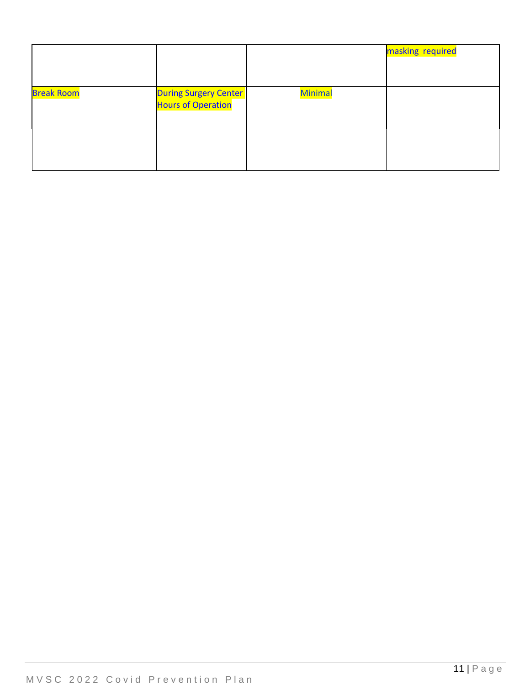|                   |                                                           |                | masking required |
|-------------------|-----------------------------------------------------------|----------------|------------------|
| <b>Break Room</b> | <b>During Surgery Center</b><br><b>Hours of Operation</b> | <b>Minimal</b> |                  |
|                   |                                                           |                |                  |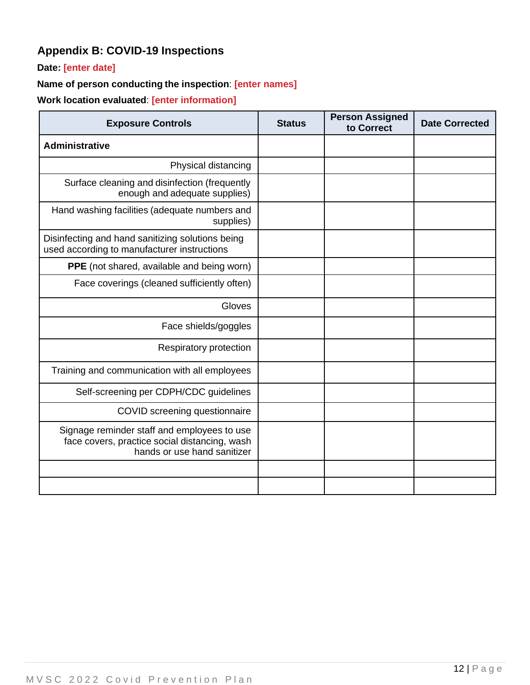# **Appendix B: COVID-19 Inspections**

### **Date: [enter date]**

### **Name of person conducting the inspection**: **[enter names]**

**Work location evaluated**: **[enter information]**

| <b>Exposure Controls</b>                                                                                                    | <b>Status</b> | <b>Person Assigned</b><br>to Correct | <b>Date Corrected</b> |
|-----------------------------------------------------------------------------------------------------------------------------|---------------|--------------------------------------|-----------------------|
| <b>Administrative</b>                                                                                                       |               |                                      |                       |
| Physical distancing                                                                                                         |               |                                      |                       |
| Surface cleaning and disinfection (frequently<br>enough and adequate supplies)                                              |               |                                      |                       |
| Hand washing facilities (adequate numbers and<br>supplies)                                                                  |               |                                      |                       |
| Disinfecting and hand sanitizing solutions being<br>used according to manufacturer instructions                             |               |                                      |                       |
| <b>PPE</b> (not shared, available and being worn)                                                                           |               |                                      |                       |
| Face coverings (cleaned sufficiently often)                                                                                 |               |                                      |                       |
| Gloves                                                                                                                      |               |                                      |                       |
| Face shields/goggles                                                                                                        |               |                                      |                       |
| Respiratory protection                                                                                                      |               |                                      |                       |
| Training and communication with all employees                                                                               |               |                                      |                       |
| Self-screening per CDPH/CDC guidelines                                                                                      |               |                                      |                       |
| COVID screening questionnaire                                                                                               |               |                                      |                       |
| Signage reminder staff and employees to use<br>face covers, practice social distancing, wash<br>hands or use hand sanitizer |               |                                      |                       |
|                                                                                                                             |               |                                      |                       |
|                                                                                                                             |               |                                      |                       |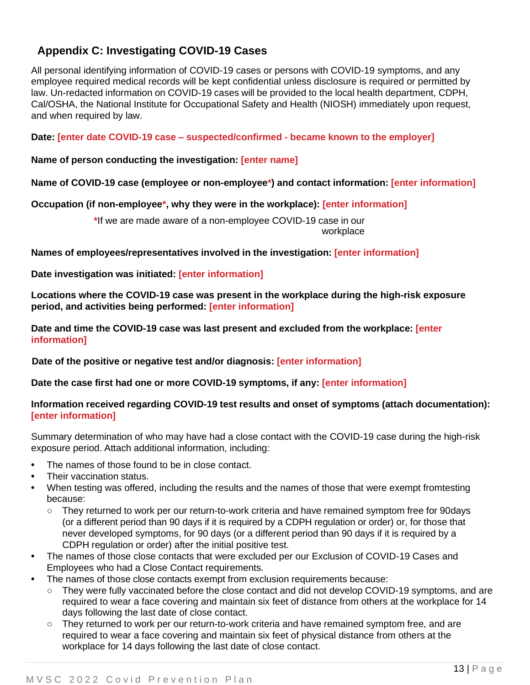## **Appendix C: Investigating COVID-19 Cases**

All personal identifying information of COVID-19 cases or persons with COVID-19 symptoms, and any employee required medical records will be kept confidential unless disclosure is required or permitted by law. Un-redacted information on COVID-19 cases will be provided to the local health department, CDPH, Cal/OSHA, the National Institute for Occupational Safety and Health (NIOSH) immediately upon request, and when required by law.

**Date: [enter date COVID-19 case – suspected/confirmed - became known to the employer]**

**Name of person conducting the investigation: [enter name]**

**Name of COVID-19 case (employee or non-employee\*) and contact information: [enter information]**

**Occupation (if non-employee\*, why they were in the workplace): [enter information]**

**\***If we are made aware of a non-employee COVID-19 case in our workplace

**Names of employees/representatives involved in the investigation: [enter information]**

**Date investigation was initiated: [enter information]**

**Locations where the COVID-19 case was present in the workplace during the high-risk exposure period, and activities being performed: [enter information]**

**Date and time the COVID-19 case was last present and excluded from the workplace: [enter information]**

**Date of the positive or negative test and/or diagnosis: [enter information]**

**Date the case first had one or more COVID-19 symptoms, if any: [enter information]**

#### **Information received regarding COVID-19 test results and onset of symptoms (attach documentation): [enter information]**

Summary determination of who may have had a close contact with the COVID-19 case during the high-risk exposure period. Attach additional information, including:

- **•** The names of those found to be in close contact.
- **•** Their vaccination status.
- **•** When testing was offered, including the results and the names of those that were exempt fromtesting because:
	- **○** They returned to work per our return-to-work criteria and have remained symptom free for 90days (or a different period than 90 days if it is required by a CDPH regulation or order) or, for those that never developed symptoms, for 90 days (or a different period than 90 days if it is required by a CDPH regulation or order) after the initial positive test.
- **•** The names of those close contacts that were excluded per our Exclusion of COVID-19 Cases and Employees who had a Close Contact requirements.
- **•** The names of those close contacts exempt from exclusion requirements because:
	- **○** They were fully vaccinated before the close contact and did not develop COVID-19 symptoms, and are required to wear a face covering and maintain six feet of distance from others at the workplace for 14 days following the last date of close contact.
	- **○** They returned to work per our return-to-work criteria and have remained symptom free, and are required to wear a face covering and maintain six feet of physical distance from others at the workplace for 14 days following the last date of close contact.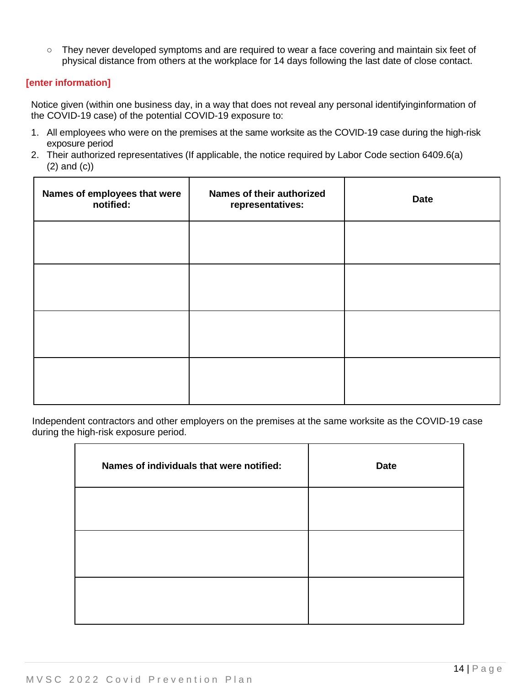**○** They never developed symptoms and are required to wear a face covering and maintain six feet of physical distance from others at the workplace for 14 days following the last date of close contact.

#### **[enter information]**

Notice given (within one business day, in a way that does not reveal any personal identifyinginformation of the COVID-19 case) of the potential COVID-19 exposure to:

- 1. All employees who were on the premises at the same worksite as the COVID-19 case during the high-risk exposure period
- 2. Their authorized representatives (If applicable, the notice required by Labor Code section 6409.6(a) (2) and (c))

| Names of employees that were<br>notified: | Names of their authorized<br>representatives: | <b>Date</b> |
|-------------------------------------------|-----------------------------------------------|-------------|
|                                           |                                               |             |
|                                           |                                               |             |
|                                           |                                               |             |
|                                           |                                               |             |

Independent contractors and other employers on the premises at the same worksite as the COVID-19 case during the high-risk exposure period.

| Names of individuals that were notified: | <b>Date</b> |
|------------------------------------------|-------------|
|                                          |             |
|                                          |             |
|                                          |             |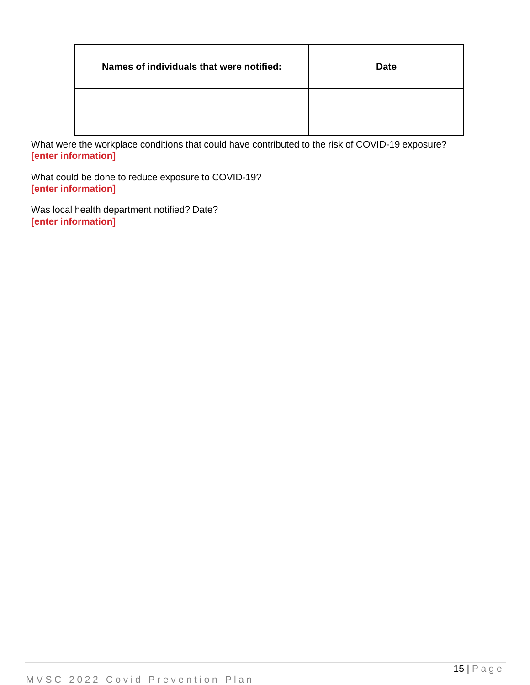| Names of individuals that were notified: | <b>Date</b> |
|------------------------------------------|-------------|
|                                          |             |

What were the workplace conditions that could have contributed to the risk of COVID-19 exposure? **[enter information]**

What could be done to reduce exposure to COVID-19? **[enter information]**

Was local health department notified? Date? **[enter information]**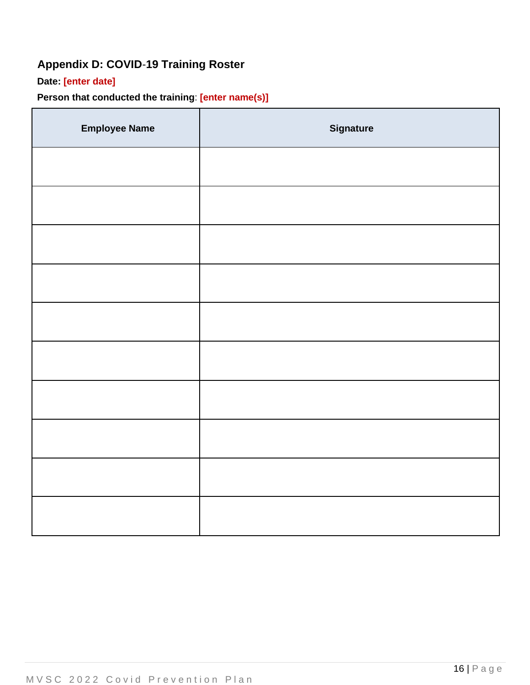# **Appendix D: COVID**-**19 Training Roster**

## **Date: [enter date]**

## **Person that conducted the training**: **[enter name(s)]**

| <b>Employee Name</b> | <b>Signature</b> |
|----------------------|------------------|
|                      |                  |
|                      |                  |
|                      |                  |
|                      |                  |
|                      |                  |
|                      |                  |
|                      |                  |
|                      |                  |
|                      |                  |
|                      |                  |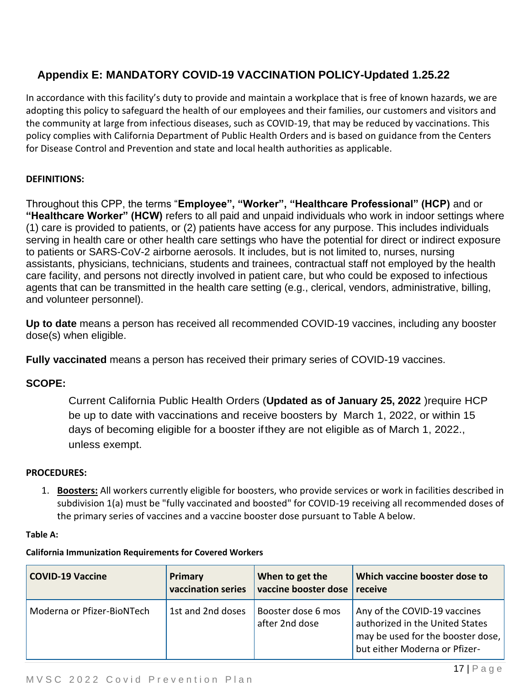## **Appendix E: MANDATORY COVID-19 VACCINATION POLICY-Updated 1.25.22**

In accordance with this facility's duty to provide and maintain a workplace that is free of known hazards, we are adopting this policy to safeguard the health of our employees and their families, our customers and visitors and the community at large from infectious diseases, such as COVID-19, that may be reduced by vaccinations. This policy complies with California Department of Public Health Orders and is based on guidance from the Centers for Disease Control and Prevention and state and local health authorities as applicable.

### **DEFINITIONS:**

Throughout this CPP, the terms "**Employee", "Worker", "Healthcare Professional" (HCP)** and or **"Healthcare Worker" (HCW)** refers to all paid and unpaid individuals who work in indoor settings where (1) care is provided to patients, or (2) patients have access for any purpose. This includes individuals serving in health care or other health care settings who have the potential for direct or indirect exposure to patients or SARS-CoV-2 airborne aerosols. It includes, but is not limited to, nurses, nursing assistants, physicians, technicians, students and trainees, contractual staff not employed by the health care facility, and persons not directly involved in patient care, but who could be exposed to infectious agents that can be transmitted in the health care setting (e.g., clerical, vendors, administrative, billing, and volunteer personnel).

**Up to date** means a person has received all recommended COVID-19 vaccines, including any booster dose(s) when eligible.

**Fully vaccinated** means a person has received their primary series of COVID-19 vaccines.

### **SCOPE:**

Current California Public Health [Orders](https://www.cdph.ca.gov/Programs/CID/DCDC/Pages/COVID-19/Order-of-the-State-Public-Health-Officer-Health-Care-Worker-Vaccine-Requirement.aspx) (**Updated as of January 25, 2022** )require HCP be up to date with vaccinations and receive boosters by March 1, 2022, or within 15 days of becoming eligible for a booster ifthey are not eligible as of March 1, 2022., unless exempt.

### **PROCEDURES:**

1. **Boosters:** All workers currently eligible for boosters, who provide services or work in facilities described in subdivision 1(a) must be "fully vaccinated and boosted" for COVID-19 receiving all recommended doses of the primary series of vaccines and a vaccine booster dose pursuant to Table A below.

#### **Table A:**

#### **California Immunization Requirements for Covered Workers**

| <b>COVID-19 Vaccine</b>    | Primary            | When to get the                      | Which vaccine booster dose to                                                                                                         |
|----------------------------|--------------------|--------------------------------------|---------------------------------------------------------------------------------------------------------------------------------------|
|                            | vaccination series | vaccine booster dose                 | receive                                                                                                                               |
| Moderna or Pfizer-BioNTech | 1st and 2nd doses  | Booster dose 6 mos<br>after 2nd dose | Any of the COVID-19 vaccines<br>authorized in the United States<br>may be used for the booster dose,<br>but either Moderna or Pfizer- |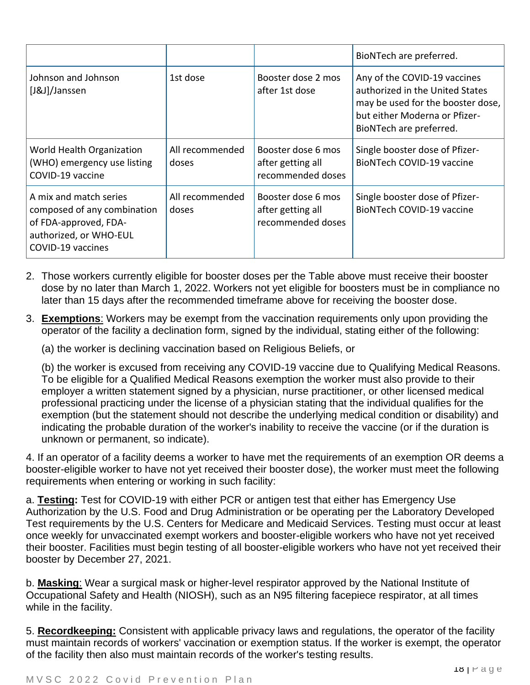|                                                                                                                               |                          |                                                              | BioNTech are preferred.                                                                                                                                          |
|-------------------------------------------------------------------------------------------------------------------------------|--------------------------|--------------------------------------------------------------|------------------------------------------------------------------------------------------------------------------------------------------------------------------|
| Johnson and Johnson<br>[J&J]/Janssen                                                                                          | 1st dose                 | Booster dose 2 mos<br>after 1st dose                         | Any of the COVID-19 vaccines<br>authorized in the United States<br>may be used for the booster dose,<br>but either Moderna or Pfizer-<br>BioNTech are preferred. |
| World Health Organization<br>(WHO) emergency use listing<br>COVID-19 vaccine                                                  | All recommended<br>doses | Booster dose 6 mos<br>after getting all<br>recommended doses | Single booster dose of Pfizer-<br><b>BioNTech COVID-19 vaccine</b>                                                                                               |
| A mix and match series<br>composed of any combination<br>of FDA-approved, FDA-<br>authorized, or WHO-EUL<br>COVID-19 vaccines | All recommended<br>doses | Booster dose 6 mos<br>after getting all<br>recommended doses | Single booster dose of Pfizer-<br><b>BioNTech COVID-19 vaccine</b>                                                                                               |

- 2. Those workers currently eligible for booster doses per the Table above must receive their booster dose by no later than March 1, 2022. Workers not yet eligible for boosters must be in compliance no later than 15 days after the recommended timeframe above for receiving the booster dose.
- 3. **Exemptions**: Workers may be exempt from the vaccination requirements only upon providing the operator of the facility a declination form, signed by the individual, stating either of the following:

(a) the worker is declining vaccination based on Religious Beliefs, or

 $\Gamma$ 

(b) the worker is excused from receiving any COVID-19 vaccine due to Qualifying Medical Reasons. To be eligible for a Qualified Medical Reasons exemption the worker must also provide to their employer a written statement signed by a physician, nurse practitioner, or other licensed medical professional practicing under the license of a physician stating that the individual qualifies for the exemption (but the statement should not describe the underlying medical condition or disability) and indicating the probable duration of the worker's inability to receive the vaccine (or if the duration is unknown or permanent, so indicate).

4. If an operator of a facility deems a worker to have met the requirements of an exemption OR deems a booster-eligible worker to have not yet received their booster dose), the worker must meet the following requirements when entering or working in such facility:

a. **Testing:** Test for COVID-19 with either PCR or antigen test that either has Emergency Use Authorization by the U.S. Food and Drug Administration or be operating per the Laboratory Developed Test requirements by the U.S. Centers for Medicare and Medicaid Services. Testing must occur at least once weekly for unvaccinated exempt workers and booster-eligible workers who have not yet received their booster. Facilities must begin testing of all booster-eligible workers who have not yet received their booster by December 27, 2021.

b. **Masking**: Wear a surgical mask or higher-level respirator approved by the National Institute of Occupational Safety and Health (NIOSH), such as an N95 filtering facepiece respirator, at all times while in the facility.

5. **Recordkeeping:** Consistent with applicable privacy laws and regulations, the operator of the facility must maintain records of workers' vaccination or exemption status. If the worker is exempt, the operator of the facility then also must maintain records of the worker's testing results.